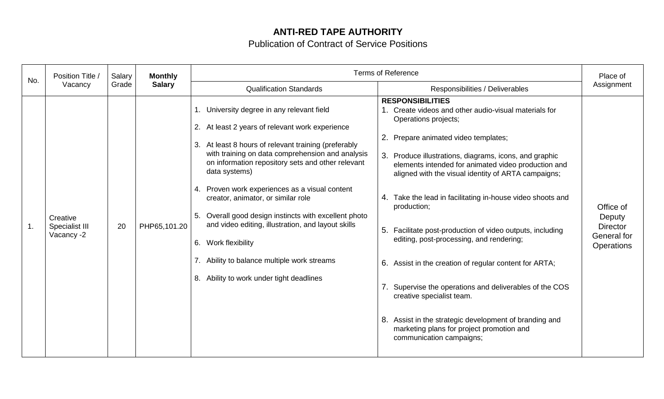## **ANTI-RED TAPE AUTHORITY**

Publication of Contract of Service Positions

| No. | Position Title /<br>Vacancy              | Salary<br>Grade | <b>Monthly</b><br><b>Salary</b> | <b>Terms of Reference</b>                                                                                                                                                                                                                                                                                                                                                                                                                                                                                                                                                                                      |                                                                                                                                                                                                                                                                                                                                                                                                                                                                                                                                                                                                                                                                                                                                                                                                              | Place of                                                            |
|-----|------------------------------------------|-----------------|---------------------------------|----------------------------------------------------------------------------------------------------------------------------------------------------------------------------------------------------------------------------------------------------------------------------------------------------------------------------------------------------------------------------------------------------------------------------------------------------------------------------------------------------------------------------------------------------------------------------------------------------------------|--------------------------------------------------------------------------------------------------------------------------------------------------------------------------------------------------------------------------------------------------------------------------------------------------------------------------------------------------------------------------------------------------------------------------------------------------------------------------------------------------------------------------------------------------------------------------------------------------------------------------------------------------------------------------------------------------------------------------------------------------------------------------------------------------------------|---------------------------------------------------------------------|
|     |                                          |                 |                                 | <b>Qualification Standards</b>                                                                                                                                                                                                                                                                                                                                                                                                                                                                                                                                                                                 | Responsibilities / Deliverables                                                                                                                                                                                                                                                                                                                                                                                                                                                                                                                                                                                                                                                                                                                                                                              | Assignment                                                          |
|     | Creative<br>Specialist III<br>Vacancy -2 | 20              | PHP65,101.20                    | 1. University degree in any relevant field<br>2. At least 2 years of relevant work experience<br>3. At least 8 hours of relevant training (preferably<br>with training on data comprehension and analysis<br>on information repository sets and other relevant<br>data systems)<br>4. Proven work experiences as a visual content<br>creator, animator, or similar role<br>Overall good design instincts with excellent photo<br>5.<br>and video editing, illustration, and layout skills<br>Work flexibility<br>6.<br>7. Ability to balance multiple work streams<br>8. Ability to work under tight deadlines | <b>RESPONSIBILITIES</b><br>1. Create videos and other audio-visual materials for<br>Operations projects;<br>2. Prepare animated video templates;<br>3.<br>Produce illustrations, diagrams, icons, and graphic<br>elements intended for animated video production and<br>aligned with the visual identity of ARTA campaigns;<br>4. Take the lead in facilitating in-house video shoots and<br>production;<br>Facilitate post-production of video outputs, including<br>5.<br>editing, post-processing, and rendering;<br>6. Assist in the creation of regular content for ARTA;<br>Supervise the operations and deliverables of the COS<br>7.<br>creative specialist team.<br>8. Assist in the strategic development of branding and<br>marketing plans for project promotion and<br>communication campaigns; | Office of<br>Deputy<br><b>Director</b><br>General for<br>Operations |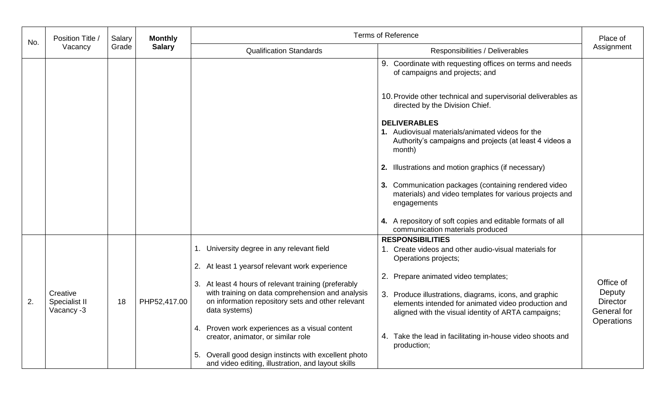| No. | Position Title /<br>Vacancy             | Salary<br>Grade | <b>Monthly</b><br><b>Salary</b> | <b>Terms of Reference</b>                                                                                                                                                                                                         |                                                                                                                                                                                                              | Place of                                                            |
|-----|-----------------------------------------|-----------------|---------------------------------|-----------------------------------------------------------------------------------------------------------------------------------------------------------------------------------------------------------------------------------|--------------------------------------------------------------------------------------------------------------------------------------------------------------------------------------------------------------|---------------------------------------------------------------------|
|     |                                         |                 |                                 | <b>Qualification Standards</b>                                                                                                                                                                                                    | Responsibilities / Deliverables                                                                                                                                                                              | Assignment                                                          |
|     |                                         |                 |                                 |                                                                                                                                                                                                                                   | 9. Coordinate with requesting offices on terms and needs<br>of campaigns and projects; and                                                                                                                   |                                                                     |
|     |                                         |                 |                                 |                                                                                                                                                                                                                                   | 10. Provide other technical and supervisorial deliverables as<br>directed by the Division Chief.                                                                                                             |                                                                     |
|     |                                         |                 |                                 |                                                                                                                                                                                                                                   | <b>DELIVERABLES</b><br>1. Audiovisual materials/animated videos for the<br>Authority's campaigns and projects (at least 4 videos a<br>month)                                                                 |                                                                     |
|     |                                         |                 |                                 |                                                                                                                                                                                                                                   | 2. Illustrations and motion graphics (if necessary)                                                                                                                                                          |                                                                     |
|     |                                         |                 |                                 |                                                                                                                                                                                                                                   | 3. Communication packages (containing rendered video<br>materials) and video templates for various projects and<br>engagements                                                                               |                                                                     |
|     |                                         |                 |                                 |                                                                                                                                                                                                                                   | 4. A repository of soft copies and editable formats of all<br>communication materials produced                                                                                                               |                                                                     |
|     |                                         |                 |                                 | 1. University degree in any relevant field                                                                                                                                                                                        | <b>RESPONSIBILITIES</b><br>1. Create videos and other audio-visual materials for<br>Operations projects;                                                                                                     |                                                                     |
| 2.  | Creative<br>Specialist II<br>Vacancy -3 | 18              | PHP52,417.00                    | 2. At least 1 years of relevant work experience<br>3. At least 4 hours of relevant training (preferably<br>with training on data comprehension and analysis<br>on information repository sets and other relevant<br>data systems) | 2. Prepare animated video templates;<br>3. Produce illustrations, diagrams, icons, and graphic<br>elements intended for animated video production and<br>aligned with the visual identity of ARTA campaigns; | Office of<br>Deputy<br><b>Director</b><br>General for<br>Operations |
|     |                                         |                 |                                 | 4. Proven work experiences as a visual content<br>creator, animator, or similar role                                                                                                                                              | 4. Take the lead in facilitating in-house video shoots and<br>production;                                                                                                                                    |                                                                     |
|     |                                         |                 |                                 | Overall good design instincts with excellent photo<br>5.<br>and video editing, illustration, and layout skills                                                                                                                    |                                                                                                                                                                                                              |                                                                     |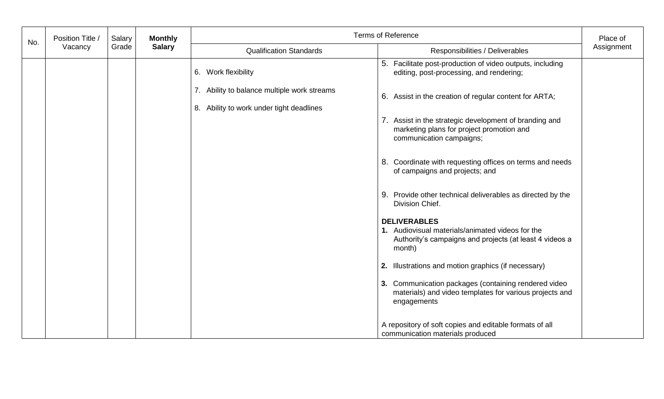| No. | Position Title | Salary<br>Grade | <b>Monthly</b><br><b>Salary</b> | <b>Terms of Reference</b>                                                               |                                                                                                                                              | Place of   |
|-----|----------------|-----------------|---------------------------------|-----------------------------------------------------------------------------------------|----------------------------------------------------------------------------------------------------------------------------------------------|------------|
|     | Vacancy        |                 |                                 | <b>Qualification Standards</b>                                                          | Responsibilities / Deliverables                                                                                                              | Assignment |
|     |                |                 |                                 | 6. Work flexibility                                                                     | 5. Facilitate post-production of video outputs, including<br>editing, post-processing, and rendering;                                        |            |
|     |                |                 |                                 | 7. Ability to balance multiple work streams<br>8. Ability to work under tight deadlines | 6. Assist in the creation of regular content for ARTA;                                                                                       |            |
|     |                |                 |                                 |                                                                                         | 7. Assist in the strategic development of branding and<br>marketing plans for project promotion and<br>communication campaigns;              |            |
|     |                |                 |                                 |                                                                                         | 8. Coordinate with requesting offices on terms and needs<br>of campaigns and projects; and                                                   |            |
|     |                |                 |                                 |                                                                                         | 9. Provide other technical deliverables as directed by the<br>Division Chief.                                                                |            |
|     |                |                 |                                 |                                                                                         | <b>DELIVERABLES</b><br>1. Audiovisual materials/animated videos for the<br>Authority's campaigns and projects (at least 4 videos a<br>month) |            |
|     |                |                 |                                 |                                                                                         | 2. Illustrations and motion graphics (if necessary)                                                                                          |            |
|     |                |                 |                                 |                                                                                         | 3. Communication packages (containing rendered video<br>materials) and video templates for various projects and<br>engagements               |            |
|     |                |                 |                                 |                                                                                         | A repository of soft copies and editable formats of all<br>communication materials produced                                                  |            |